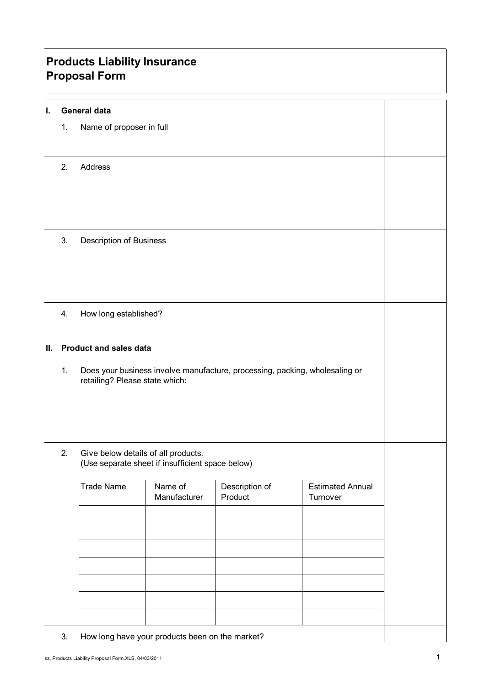## **Products Liability Insurance Proposal Form**

| L. |    | <b>General data</b>                                                                     |                                                 |                           |                                     |
|----|----|-----------------------------------------------------------------------------------------|-------------------------------------------------|---------------------------|-------------------------------------|
|    | 1. | Name of proposer in full                                                                |                                                 |                           |                                     |
|    |    |                                                                                         |                                                 |                           |                                     |
|    | 2. | Address                                                                                 |                                                 |                           |                                     |
|    |    |                                                                                         |                                                 |                           |                                     |
|    |    |                                                                                         |                                                 |                           |                                     |
|    |    |                                                                                         |                                                 |                           |                                     |
|    | 3. | Description of Business                                                                 |                                                 |                           |                                     |
|    |    |                                                                                         |                                                 |                           |                                     |
|    |    |                                                                                         |                                                 |                           |                                     |
|    | 4. | How long established?                                                                   |                                                 |                           |                                     |
|    |    |                                                                                         |                                                 |                           |                                     |
| Ш. |    | <b>Product and sales data</b>                                                           |                                                 |                           |                                     |
|    | 1. | Does your business involve manufacture, processing, packing, wholesaling or             |                                                 |                           |                                     |
|    |    | retailing? Please state which:                                                          |                                                 |                           |                                     |
|    |    |                                                                                         |                                                 |                           |                                     |
|    |    | Give below details of all products.<br>(Use separate sheet if insufficient space below) |                                                 |                           |                                     |
|    | 2. |                                                                                         |                                                 |                           |                                     |
|    |    |                                                                                         |                                                 |                           |                                     |
|    |    | <b>Trade Name</b>                                                                       | Name of<br>Manufacturer                         | Description of<br>Product | <b>Estimated Annual</b><br>Turnover |
|    |    |                                                                                         |                                                 |                           |                                     |
|    |    |                                                                                         |                                                 |                           |                                     |
|    |    |                                                                                         |                                                 |                           |                                     |
|    |    |                                                                                         |                                                 |                           |                                     |
|    |    |                                                                                         |                                                 |                           |                                     |
|    |    |                                                                                         |                                                 |                           |                                     |
|    | 3. |                                                                                         | How long have your products been on the market? |                           |                                     |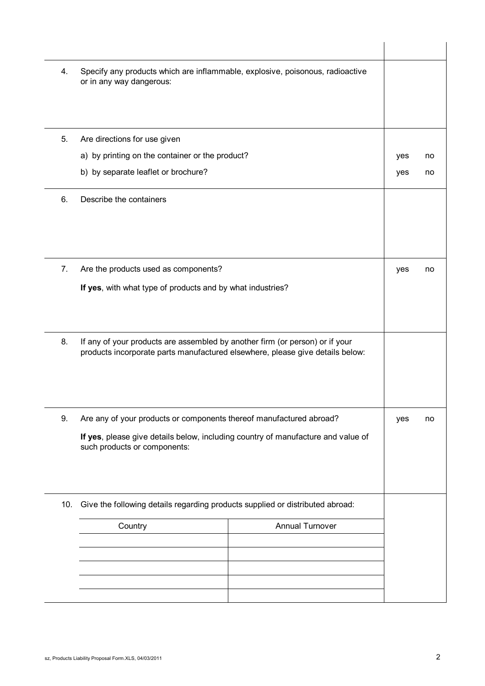| 4.  | Specify any products which are inflammable, explosive, poisonous, radioactive<br>or in any way dangerous:                                                     |            |     |    |
|-----|---------------------------------------------------------------------------------------------------------------------------------------------------------------|------------|-----|----|
|     |                                                                                                                                                               |            |     |    |
| 5.  | Are directions for use given<br>a) by printing on the container or the product?                                                                               |            |     | no |
|     | b) by separate leaflet or brochure?                                                                                                                           | yes<br>yes | no  |    |
|     |                                                                                                                                                               |            |     |    |
| 6.  | Describe the containers                                                                                                                                       |            |     |    |
|     |                                                                                                                                                               |            |     |    |
|     |                                                                                                                                                               |            |     |    |
| 7.  | Are the products used as components?                                                                                                                          |            | yes | no |
|     | If yes, with what type of products and by what industries?                                                                                                    |            |     |    |
| 8.  | If any of your products are assembled by another firm (or person) or if your<br>products incorporate parts manufactured elsewhere, please give details below: |            |     |    |
| 9.  | Are any of your products or components thereof manufactured abroad?                                                                                           | yes        | no  |    |
|     | If yes, please give details below, including country of manufacture and value of<br>such products or components:                                              |            |     |    |
| 10. | Give the following details regarding products supplied or distributed abroad:                                                                                 |            |     |    |
|     | <b>Annual Turnover</b><br>Country                                                                                                                             |            |     |    |
|     |                                                                                                                                                               |            |     |    |
|     |                                                                                                                                                               |            |     |    |
|     |                                                                                                                                                               |            |     |    |
|     |                                                                                                                                                               |            |     |    |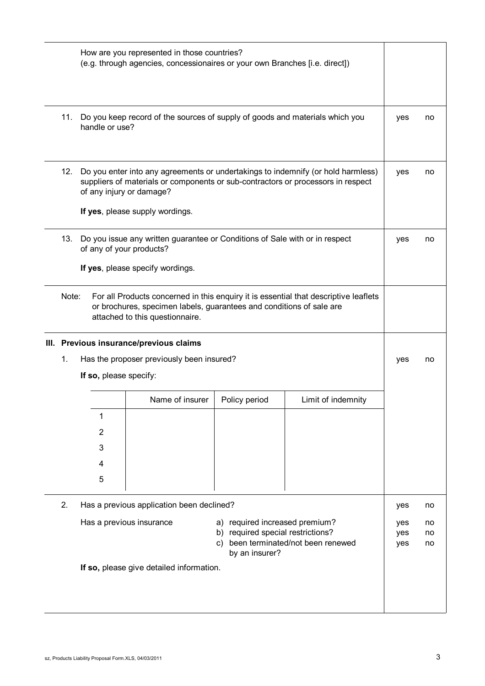|                                                                                                                                                                                                          | How are you represented in those countries?<br>(e.g. through agencies, concessionaires or your own Branches [i.e. direct])                                                                                                          |                                          |               |                    |                |    |
|----------------------------------------------------------------------------------------------------------------------------------------------------------------------------------------------------------|-------------------------------------------------------------------------------------------------------------------------------------------------------------------------------------------------------------------------------------|------------------------------------------|---------------|--------------------|----------------|----|
| 11.                                                                                                                                                                                                      | Do you keep record of the sources of supply of goods and materials which you<br>handle or use?                                                                                                                                      |                                          |               |                    |                | no |
| 12.                                                                                                                                                                                                      | Do you enter into any agreements or undertakings to indemnify (or hold harmless)<br>suppliers of materials or components or sub-contractors or processors in respect<br>of any injury or damage?<br>If yes, please supply wordings. |                                          |               |                    | yes            | no |
| 13.                                                                                                                                                                                                      | Do you issue any written guarantee or Conditions of Sale with or in respect<br>of any of your products?<br>If yes, please specify wordings.                                                                                         |                                          |               |                    | yes            | no |
| Note:<br>For all Products concerned in this enquiry it is essential that descriptive leaflets<br>or brochures, specimen labels, guarantees and conditions of sale are<br>attached to this questionnaire. |                                                                                                                                                                                                                                     |                                          |               |                    |                |    |
|                                                                                                                                                                                                          |                                                                                                                                                                                                                                     | III. Previous insurance/previous claims  |               |                    |                |    |
| 1.                                                                                                                                                                                                       | Has the proposer previously been insured?                                                                                                                                                                                           |                                          |               | yes                | no             |    |
|                                                                                                                                                                                                          | If so, please specify:                                                                                                                                                                                                              |                                          |               |                    |                |    |
|                                                                                                                                                                                                          |                                                                                                                                                                                                                                     | Name of insurer                          | Policy period | Limit of indemnity |                |    |
|                                                                                                                                                                                                          | 1                                                                                                                                                                                                                                   |                                          |               |                    |                |    |
|                                                                                                                                                                                                          | $\overline{2}$                                                                                                                                                                                                                      |                                          |               |                    |                |    |
|                                                                                                                                                                                                          | 3                                                                                                                                                                                                                                   |                                          |               |                    |                |    |
|                                                                                                                                                                                                          | 4                                                                                                                                                                                                                                   |                                          |               |                    |                |    |
|                                                                                                                                                                                                          | 5                                                                                                                                                                                                                                   |                                          |               |                    |                |    |
| 2.<br>Has a previous application been declined?                                                                                                                                                          |                                                                                                                                                                                                                                     |                                          |               |                    | yes            | no |
|                                                                                                                                                                                                          | Has a previous insurance<br>a) required increased premium?<br>b) required special restrictions?<br>been terminated/not been renewed<br>C)<br>by an insurer?                                                                         |                                          |               | yes<br>yes<br>yes  | no<br>no<br>no |    |
|                                                                                                                                                                                                          |                                                                                                                                                                                                                                     | If so, please give detailed information. |               |                    |                |    |